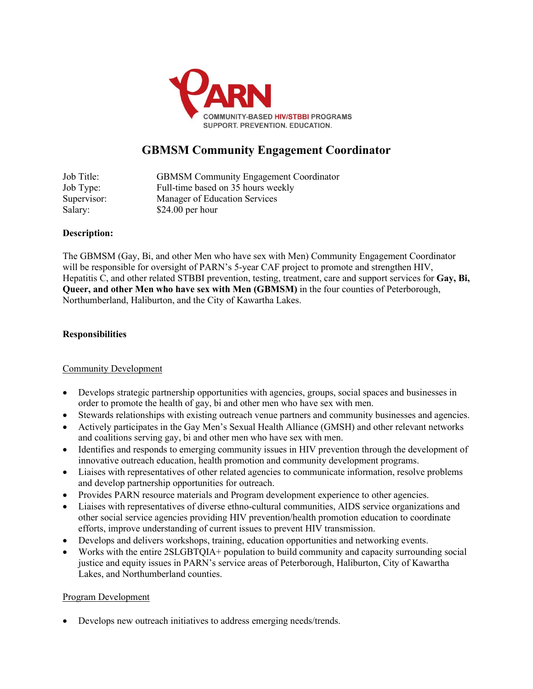

# **GBMSM Community Engagement Coordinator**

Job Title: GBMSM Community Engagement Coordinator Job Type: Full-time based on 35 hours weekly Supervisor: Manager of Education Services Salary: \$24.00 per hour

## **Description:**

The GBMSM (Gay, Bi, and other Men who have sex with Men) Community Engagement Coordinator will be responsible for oversight of PARN's 5-year CAF project to promote and strengthen HIV, Hepatitis C, and other related STBBI prevention, testing, treatment, care and support services for **Gay, Bi, Queer, and other Men who have sex with Men (GBMSM)** in the four counties of Peterborough, Northumberland, Haliburton, and the City of Kawartha Lakes.

## **Responsibilities**

#### Community Development

- Develops strategic partnership opportunities with agencies, groups, social spaces and businesses in order to promote the health of gay, bi and other men who have sex with men.
- Stewards relationships with existing outreach venue partners and community businesses and agencies.
- Actively participates in the Gay Men's Sexual Health Alliance (GMSH) and other relevant networks and coalitions serving gay, bi and other men who have sex with men.
- Identifies and responds to emerging community issues in HIV prevention through the development of innovative outreach education, health promotion and community development programs.
- Liaises with representatives of other related agencies to communicate information, resolve problems and develop partnership opportunities for outreach.
- Provides PARN resource materials and Program development experience to other agencies.
- Liaises with representatives of diverse ethno-cultural communities, AIDS service organizations and other social service agencies providing HIV prevention/health promotion education to coordinate efforts, improve understanding of current issues to prevent HIV transmission.
- Develops and delivers workshops, training, education opportunities and networking events.
- Works with the entire 2SLGBTQIA+ population to build community and capacity surrounding social justice and equity issues in PARN's service areas of Peterborough, Haliburton, City of Kawartha Lakes, and Northumberland counties.

#### Program Development

• Develops new outreach initiatives to address emerging needs/trends.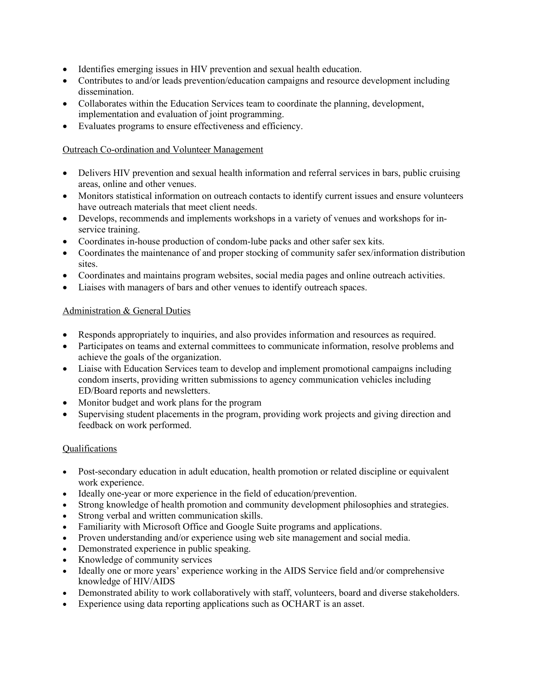- Identifies emerging issues in HIV prevention and sexual health education.
- Contributes to and/or leads prevention/education campaigns and resource development including dissemination.
- Collaborates within the Education Services team to coordinate the planning, development, implementation and evaluation of joint programming.
- Evaluates programs to ensure effectiveness and efficiency.

#### Outreach Co-ordination and Volunteer Management

- Delivers HIV prevention and sexual health information and referral services in bars, public cruising areas, online and other venues.
- Monitors statistical information on outreach contacts to identify current issues and ensure volunteers have outreach materials that meet client needs.
- Develops, recommends and implements workshops in a variety of venues and workshops for inservice training.
- Coordinates in-house production of condom-lube packs and other safer sex kits.
- Coordinates the maintenance of and proper stocking of community safer sex/information distribution sites.
- Coordinates and maintains program websites, social media pages and online outreach activities.
- Liaises with managers of bars and other venues to identify outreach spaces.

# Administration & General Duties

- Responds appropriately to inquiries, and also provides information and resources as required.
- Participates on teams and external committees to communicate information, resolve problems and achieve the goals of the organization.
- Liaise with Education Services team to develop and implement promotional campaigns including condom inserts, providing written submissions to agency communication vehicles including ED/Board reports and newsletters.
- Monitor budget and work plans for the program
- Supervising student placements in the program, providing work projects and giving direction and feedback on work performed.

#### **Qualifications**

- Post-secondary education in adult education, health promotion or related discipline or equivalent work experience.
- Ideally one-year or more experience in the field of education/prevention.
- Strong knowledge of health promotion and community development philosophies and strategies.
- Strong verbal and written communication skills.
- Familiarity with Microsoft Office and Google Suite programs and applications.
- Proven understanding and/or experience using web site management and social media.
- Demonstrated experience in public speaking.
- Knowledge of community services
- Ideally one or more years' experience working in the AIDS Service field and/or comprehensive knowledge of HIV/AIDS
- Demonstrated ability to work collaboratively with staff, volunteers, board and diverse stakeholders.
- Experience using data reporting applications such as OCHART is an asset.